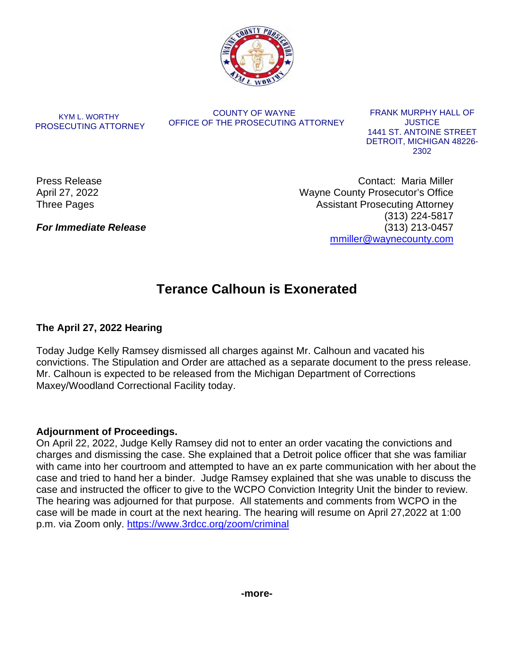

KYM L. WORTHY PROSECUTING ATTORNEY

COUNTY OF WAYNE OFFICE OF THE PROSECUTING ATTORNEY

FRANK MURPHY HALL OF JUSTICE 1441 ST. ANTOINE STREET DETROIT, MICHIGAN 48226- 2302

Press Release April 27, 2022 Three Pages

*For Immediate Release* 

Contact: Maria Miller Wayne County Prosecutor's Office Assistant Prosecuting Attorney (313) 224-5817 (313) 213-0457 [mmiller@waynecounty.com](mailto:mmiller@waynecounty.com)

# **Terance Calhoun is Exonerated**

# **The April 27, 2022 Hearing**

Today Judge Kelly Ramsey dismissed all charges against Mr. Calhoun and vacated his convictions. The Stipulation and Order are attached as a separate document to the press release. Mr. Calhoun is expected to be released from the Michigan Department of Corrections Maxey/Woodland Correctional Facility today.

## **Adjournment of Proceedings.**

On April 22, 2022, Judge Kelly Ramsey did not to enter an order vacating the convictions and charges and dismissing the case. She explained that a Detroit police officer that she was familiar with came into her courtroom and attempted to have an ex parte communication with her about the case and tried to hand her a binder. Judge Ramsey explained that she was unable to discuss the case and instructed the officer to give to the WCPO Conviction Integrity Unit the binder to review. The hearing was adjourned for that purpose. All statements and comments from WCPO in the case will be made in court at the next hearing. The hearing will resume on April 27,2022 at 1:00 p.m. via Zoom only.<https://www.3rdcc.org/zoom/criminal>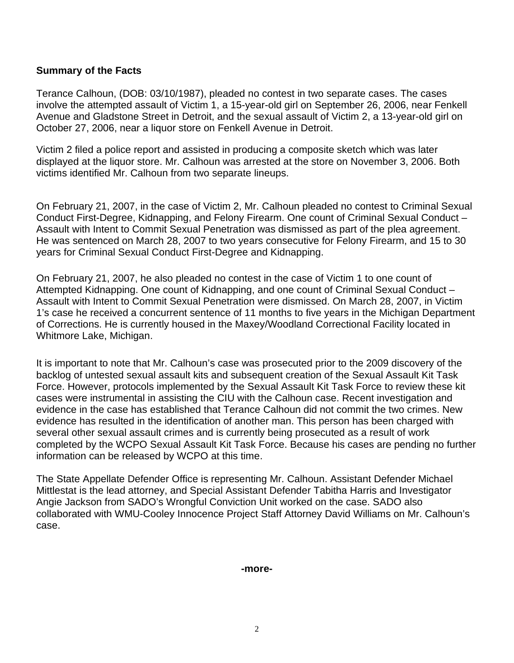### **Summary of the Facts**

Terance Calhoun, (DOB: 03/10/1987), pleaded no contest in two separate cases. The cases involve the attempted assault of Victim 1, a 15-year-old girl on September 26, 2006, near Fenkell Avenue and Gladstone Street in Detroit, and the sexual assault of Victim 2, a 13-year-old girl on October 27, 2006, near a liquor store on Fenkell Avenue in Detroit.

Victim 2 filed a police report and assisted in producing a composite sketch which was later displayed at the liquor store. Mr. Calhoun was arrested at the store on November 3, 2006. Both victims identified Mr. Calhoun from two separate lineups.

On February 21, 2007, in the case of Victim 2, Mr. Calhoun pleaded no contest to Criminal Sexual Conduct First-Degree, Kidnapping, and Felony Firearm. One count of Criminal Sexual Conduct – Assault with Intent to Commit Sexual Penetration was dismissed as part of the plea agreement. He was sentenced on March 28, 2007 to two years consecutive for Felony Firearm, and 15 to 30 years for Criminal Sexual Conduct First-Degree and Kidnapping.

On February 21, 2007, he also pleaded no contest in the case of Victim 1 to one count of Attempted Kidnapping. One count of Kidnapping, and one count of Criminal Sexual Conduct – Assault with Intent to Commit Sexual Penetration were dismissed. On March 28, 2007, in Victim 1's case he received a concurrent sentence of 11 months to five years in the Michigan Department of Corrections. He is currently housed in the Maxey/Woodland Correctional Facility located in Whitmore Lake, Michigan.

It is important to note that Mr. Calhoun's case was prosecuted prior to the 2009 discovery of the backlog of untested sexual assault kits and subsequent creation of the Sexual Assault Kit Task Force. However, protocols implemented by the Sexual Assault Kit Task Force to review these kit cases were instrumental in assisting the CIU with the Calhoun case. Recent investigation and evidence in the case has established that Terance Calhoun did not commit the two crimes. New evidence has resulted in the identification of another man. This person has been charged with several other sexual assault crimes and is currently being prosecuted as a result of work completed by the WCPO Sexual Assault Kit Task Force. Because his cases are pending no further information can be released by WCPO at this time.

The State Appellate Defender Office is representing Mr. Calhoun. Assistant Defender Michael Mittlestat is the lead attorney, and Special Assistant Defender Tabitha Harris and Investigator Angie Jackson from SADO's Wrongful Conviction Unit worked on the case. SADO also collaborated with WMU-Cooley Innocence Project Staff Attorney David Williams on Mr. Calhoun's case.

#### **-more-**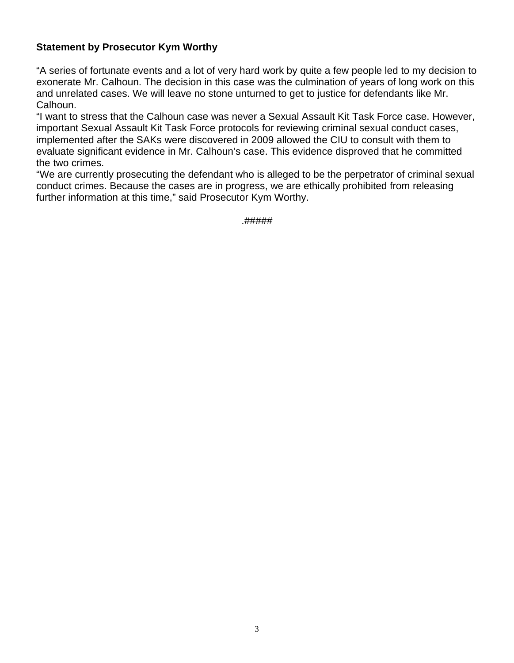## **Statement by Prosecutor Kym Worthy**

"A series of fortunate events and a lot of very hard work by quite a few people led to my decision to exonerate Mr. Calhoun. The decision in this case was the culmination of years of long work on this and unrelated cases. We will leave no stone unturned to get to justice for defendants like Mr. Calhoun.

"I want to stress that the Calhoun case was never a Sexual Assault Kit Task Force case. However, important Sexual Assault Kit Task Force protocols for reviewing criminal sexual conduct cases, implemented after the SAKs were discovered in 2009 allowed the CIU to consult with them to evaluate significant evidence in Mr. Calhoun's case. This evidence disproved that he committed the two crimes.

"We are currently prosecuting the defendant who is alleged to be the perpetrator of criminal sexual conduct crimes. Because the cases are in progress, we are ethically prohibited from releasing further information at this time," said Prosecutor Kym Worthy.

.#####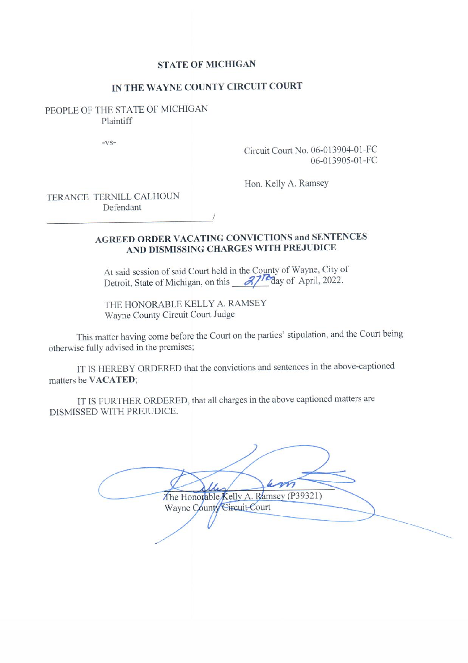### **STATE OF MICHIGAN**

### IN THE WAYNE COUNTY CIRCUIT COURT

PEOPLE OF THE STATE OF MICHIGAN Plaintiff

 $-VS-$ 

Circuit Court No. 06-013904-01-FC 06-013905-01-FC

Hon. Kelly A. Ramsey

TERANCE TERNILL CALHOUN Defendant

# **AGREED ORDER VACATING CONVICTIONS and SENTENCES** AND DISMISSING CHARGES WITH PREJUDICE

At said session of said Court held in the County of Wayne, City of Detroit, State of Michigan, on this  $\frac{27}{6}$  day of April, 2022.

THE HONORABLE KELLY A. RAMSEY Wayne County Circuit Court Judge

This matter having come before the Court on the parties' stipulation, and the Court being otherwise fully advised in the premises;

IT IS HEREBY ORDERED that the convictions and sentences in the above-captioned matters be VACATED;

IT IS FURTHER ORDERED, that all charges in the above captioned matters are DISMISSED WITH PREJUDICE.

The Honorable Kelly A. Ramsey (P39321) Wayne County Circuit Court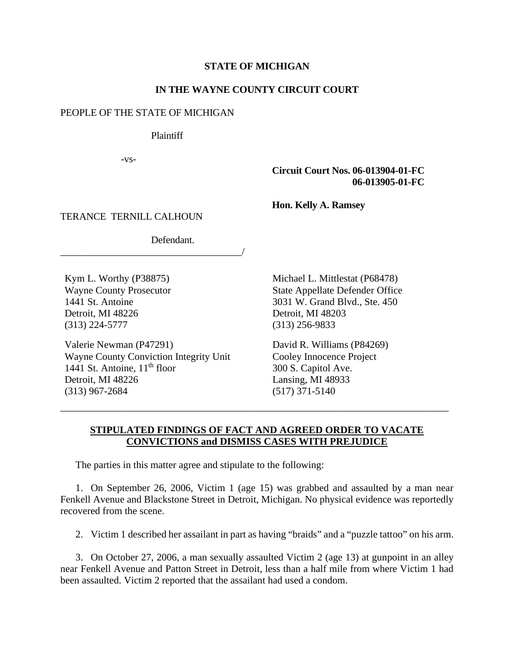#### **STATE OF MICHIGAN**

#### **IN THE WAYNE COUNTY CIRCUIT COURT**

#### PEOPLE OF THE STATE OF MICHIGAN

Plaintiff

-vs-

#### **Circuit Court Nos. 06-013904-01-FC 06-013905-01-FC**

**Hon. Kelly A. Ramsey** 

TERANCE TERNILL CALHOUN

Defendant.

\_\_\_\_\_\_\_\_\_\_\_\_\_\_\_\_\_\_\_\_\_\_\_\_\_\_\_\_\_\_\_\_\_\_\_\_/

Kym L. Worthy (P38875) Wayne County Prosecutor 1441 St. Antoine Detroit, MI 48226 (313) 224-5777

Valerie Newman (P47291) Wayne County Conviction Integrity Unit 1441 St. Antoine,  $11<sup>th</sup>$  floor Detroit, MI 48226 (313) 967-2684

Michael L. Mittlestat (P68478) State Appellate Defender Office 3031 W. Grand Blvd., Ste. 450 Detroit, MI 48203 (313) 256-9833

David R. Williams (P84269) Cooley Innocence Project 300 S. Capitol Ave. Lansing, MI 48933 (517) 371-5140

### **STIPULATED FINDINGS OF FACT AND AGREED ORDER TO VACATE CONVICTIONS and DISMISS CASES WITH PREJUDICE**

\_\_\_\_\_\_\_\_\_\_\_\_\_\_\_\_\_\_\_\_\_\_\_\_\_\_\_\_\_\_\_\_\_\_\_\_\_\_\_\_\_\_\_\_\_\_\_\_\_\_\_\_\_\_\_\_\_\_\_\_\_\_\_\_\_\_\_\_\_\_\_\_\_\_\_\_\_\_\_

The parties in this matter agree and stipulate to the following:

1. On September 26, 2006, Victim 1 (age 15) was grabbed and assaulted by a man near Fenkell Avenue and Blackstone Street in Detroit, Michigan. No physical evidence was reportedly recovered from the scene.

2. Victim 1 described her assailant in part as having "braids" and a "puzzle tattoo" on his arm.

3. On October 27, 2006, a man sexually assaulted Victim 2 (age 13) at gunpoint in an alley near Fenkell Avenue and Patton Street in Detroit, less than a half mile from where Victim 1 had been assaulted. Victim 2 reported that the assailant had used a condom.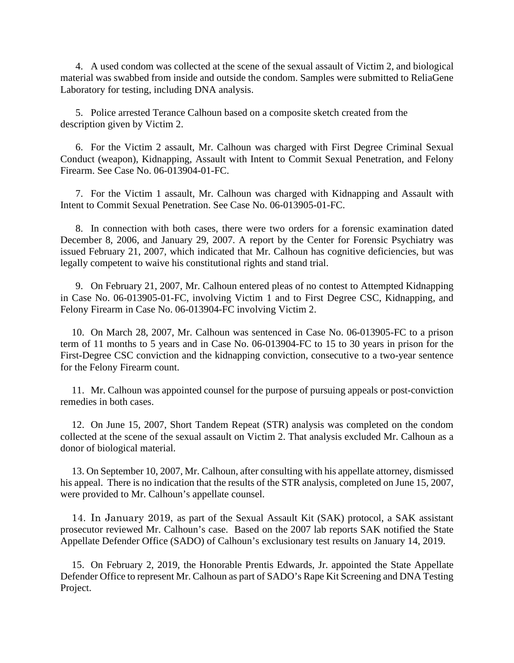4. A used condom was collected at the scene of the sexual assault of Victim 2, and biological material was swabbed from inside and outside the condom. Samples were submitted to ReliaGene Laboratory for testing, including DNA analysis.

5. Police arrested Terance Calhoun based on a composite sketch created from the description given by Victim 2.

6. For the Victim 2 assault, Mr. Calhoun was charged with First Degree Criminal Sexual Conduct (weapon), Kidnapping, Assault with Intent to Commit Sexual Penetration, and Felony Firearm. See Case No. 06-013904-01-FC.

7. For the Victim 1 assault, Mr. Calhoun was charged with Kidnapping and Assault with Intent to Commit Sexual Penetration. See Case No. 06-013905-01-FC.

8. In connection with both cases, there were two orders for a forensic examination dated December 8, 2006, and January 29, 2007. A report by the Center for Forensic Psychiatry was issued February 21, 2007, which indicated that Mr. Calhoun has cognitive deficiencies, but was legally competent to waive his constitutional rights and stand trial.

9. On February 21, 2007, Mr. Calhoun entered pleas of no contest to Attempted Kidnapping in Case No. 06-013905-01-FC, involving Victim 1 and to First Degree CSC, Kidnapping, and Felony Firearm in Case No. 06-013904-FC involving Victim 2.

10. On March 28, 2007, Mr. Calhoun was sentenced in Case No. 06-013905-FC to a prison term of 11 months to 5 years and in Case No. 06-013904-FC to 15 to 30 years in prison for the First-Degree CSC conviction and the kidnapping conviction, consecutive to a two-year sentence for the Felony Firearm count.

11. Mr. Calhoun was appointed counsel for the purpose of pursuing appeals or post-conviction remedies in both cases.

12. On June 15, 2007, Short Tandem Repeat (STR) analysis was completed on the condom collected at the scene of the sexual assault on Victim 2. That analysis excluded Mr. Calhoun as a donor of biological material.

13. On September 10, 2007, Mr. Calhoun, after consulting with his appellate attorney, dismissed his appeal. There is no indication that the results of the STR analysis, completed on June 15, 2007, were provided to Mr. Calhoun's appellate counsel.

14. In January 2019, as part of the Sexual Assault Kit (SAK) protocol, a SAK assistant prosecutor reviewed Mr. Calhoun's case. Based on the 2007 lab reports SAK notified the State Appellate Defender Office (SADO) of Calhoun's exclusionary test results on January 14, 2019.

15. On February 2, 2019, the Honorable Prentis Edwards, Jr. appointed the State Appellate Defender Office to represent Mr. Calhoun as part of SADO's Rape Kit Screening and DNA Testing Project.